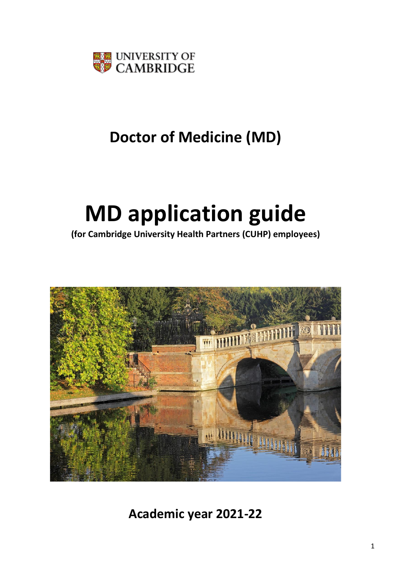

# **Doctor of Medicine (MD)**

# **MD application guide**

**(for Cambridge University Health Partners (CUHP) employees)**



**Academic year 2021-22**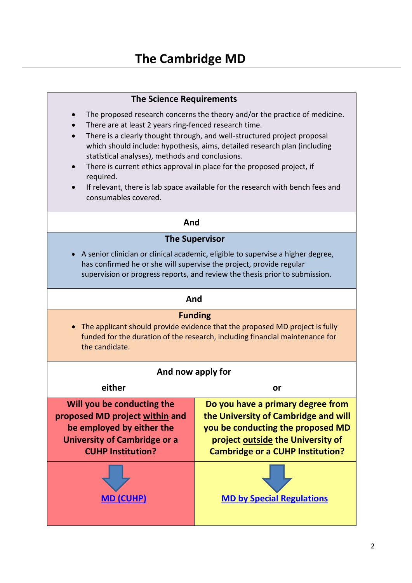#### **The Science Requirements**

- The proposed research concerns the theory and/or the practice of medicine.
- There are at least 2 years ring-fenced research time.
- There is a clearly thought through, and well-structured project proposal which should include: hypothesis, aims, detailed research plan (including statistical analyses), methods and conclusions.
- There is current ethics approval in place for the proposed project, if required.
- If relevant, there is lab space available for the research with bench fees and consumables covered.

#### **And**

#### **The Supervisor**

• A senior clinician or clinical academic, eligible to supervise a higher degree, has confirmed he or she will supervise the project, provide regular supervision or progress reports, and review the thesis prior to submission.

#### **And**

#### **Funding**

• The applicant should provide evidence that the proposed MD project is fully funded for the duration of the research, including financial maintenance for the candidate.

| And now apply for                                                                                                                                            |                                                                                                                                                                                                |  |
|--------------------------------------------------------------------------------------------------------------------------------------------------------------|------------------------------------------------------------------------------------------------------------------------------------------------------------------------------------------------|--|
|                                                                                                                                                              |                                                                                                                                                                                                |  |
| either                                                                                                                                                       | or                                                                                                                                                                                             |  |
| Will you be conducting the<br>proposed MD project within and<br>be employed by either the<br><b>University of Cambridge or a</b><br><b>CUHP Institution?</b> | Do you have a primary degree from<br>the University of Cambridge and will<br>you be conducting the proposed MD<br>project outside the University of<br><b>Cambridge or a CUHP Institution?</b> |  |
|                                                                                                                                                              | <b>MD by Special Regulations</b>                                                                                                                                                               |  |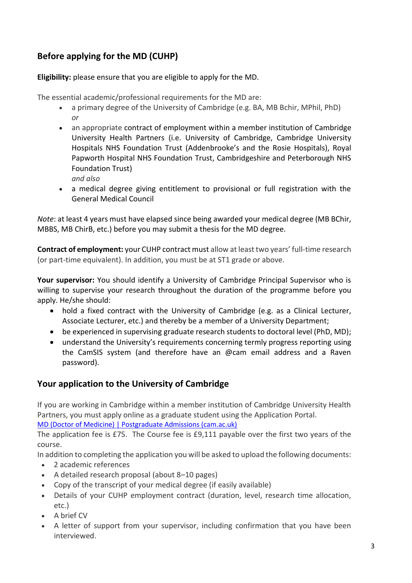## **Before applying for the MD (CUHP)**

**Eligibility:** please ensure that you are eligible to apply for the MD.

The essential academic/professional requirements for the MD are:

- a primary degree of the University of Cambridge (e.g. BA, MB Bchir, MPhil, PhD) *or*
- an appropriate [contract of employment](http://www.medschl.cam.ac.uk/graduate-studies/md/working-in-cambridge.html) within a member institution of [Cambridge](http://www.medschl.cam.ac.uk/graduate-studies/md/cuhp.html)  [University Health Partners](http://www.medschl.cam.ac.uk/graduate-studies/md/cuhp.html) (i.e. University of Cambridge, Cambridge University Hospitals NHS Foundation Trust (Addenbrooke's and the Rosie Hospitals), Royal Papworth Hospital NHS Foundation Trust, Cambridgeshire and Peterborough NHS Foundation Trust)
	- *and also*
- a medical degree giving entitlement to provisional or full registration with the General Medical Council

*Note*: at least 4 years must have elapsed since being awarded your medical degree (MB BChir, MBBS, MB ChirB, etc.) before you may submit a thesis for the MD degree.

**Contract of employment:** your CUHP contract must allow at least two years' full-time research (or part-time equivalent). In addition, you must be at ST1 grade or above.

**Your supervisor:** You should identify a University of Cambridge Principal Supervisor who is willing to supervise your research throughout the duration of the programme before you apply. He/she should:

- hold a fixed contract with the University of Cambridge (e.g. as a Clinical Lecturer, Associate Lecturer, etc.) and thereby be a member of a University Department;
- be experienced in supervising graduate research students to doctoral level (PhD, MD);
- understand the University's requirements concerning termly progress reporting using the CamSIS system (and therefore have an @cam email address and a Raven password).

### **Your application to the University of Cambridge**

If you are working in Cambridge within a member institution of Cambridge University Health Partners, you must apply online as a graduate student using the Application Portal.

[MD \(Doctor of Medicine\) | Postgraduate Admissions \(cam.ac.uk\)](https://www.postgraduate.study.cam.ac.uk/courses/directory/cvcmmdmed)

The application fee is £75. The Course fee is £9,111 payable over the first two years of the course.

In addition to completing the application you will be asked to upload the following documents:

- 2 academic references
- A detailed research proposal (about 8–10 pages)
- Copy of the transcript of your medical degree (if easily available)
- Details of your CUHP employment contract (duration, level, research time allocation, etc.)
- A brief CV
- A letter of support from your supervisor, including confirmation that you have been interviewed.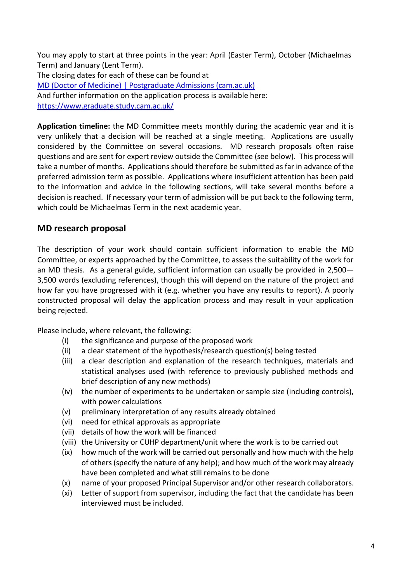You may apply to start at three points in the year: April (Easter Term), October (Michaelmas Term) and January (Lent Term). The closing dates for each of these can be found at [MD \(Doctor of Medicine\) | Postgraduate Admissions \(cam.ac.uk\)](https://www.postgraduate.study.cam.ac.uk/courses/directory/cvcmmdmed) And further information on the application process is available here: <https://www.graduate.study.cam.ac.uk/>

**Application timeline:** the MD Committee meets monthly during the academic year and it is very unlikely that a decision will be reached at a single meeting. Applications are usually considered by the Committee on several occasions. MD research proposals often raise questions and are sent for expert review outside the Committee (see below). This process will take a number of months. Applications should therefore be submitted as far in advance of the preferred admission term as possible. Applications where insufficient attention has been paid to the information and advice in the following sections, will take several months before a decision is reached. If necessary your term of admission will be put back to the following term, which could be Michaelmas Term in the next academic year.

#### **MD research proposal**

The description of your work should contain sufficient information to enable the MD Committee, or experts approached by the Committee, to assess the suitability of the work for an MD thesis. As a general guide, sufficient information can usually be provided in 2,500— 3,500 words (excluding references), though this will depend on the nature of the project and how far you have progressed with it (e.g. whether you have any results to report). A poorly constructed proposal will delay the application process and may result in your application being rejected.

Please include, where relevant, the following:

- (i) the significance and purpose of the proposed work
- (ii) a clear statement of the hypothesis/research question(s) being tested
- (iii) a clear description and explanation of the research techniques, materials and statistical analyses used (with reference to previously published methods and brief description of any new methods)
- (iv) the number of experiments to be undertaken or sample size (including controls), with power calculations
- (v) preliminary interpretation of any results already obtained
- (vi) need for ethical approvals as appropriate
- (vii) details of how the work will be financed
- (viii) the University or CUHP department/unit where the work is to be carried out
- (ix) how much of the work will be carried out personally and how much with the help of others (specify the nature of any help); and how much of the work may already have been completed and what still remains to be done
- (x) name of your proposed Principal Supervisor and/or other research collaborators.
- (xi) Letter of support from supervisor, including the fact that the candidate has been interviewed must be included.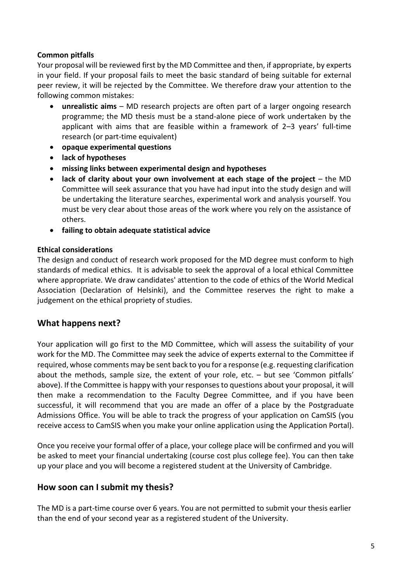#### **Common pitfalls**

Your proposal will be reviewed first by the MD Committee and then, if appropriate, by experts in your field. If your proposal fails to meet the basic standard of being suitable for external peer review, it will be rejected by the Committee. We therefore draw your attention to the following common mistakes:

- **unrealistic aims** MD research projects are often part of a larger ongoing research programme; the MD thesis must be a stand-alone piece of work undertaken by the applicant with aims that are feasible within a framework of 2–3 years' full-time research (or part-time equivalent)
- **opaque experimental questions**
- **lack of hypotheses**
- **missing links between experimental design and hypotheses**
- **lack of clarity about your own involvement at each stage of the project** the MD Committee will seek assurance that you have had input into the study design and will be undertaking the literature searches, experimental work and analysis yourself. You must be very clear about those areas of the work where you rely on the assistance of others.
- **failing to obtain adequate statistical advice**

#### **Ethical considerations**

The design and conduct of research work proposed for the MD degree must conform to high standards of medical ethics. It is advisable to seek the approval of a local ethical Committee where appropriate. We draw candidates' attention to the code of ethics of the World Medical Association (Declaration of Helsinki), and the Committee reserves the right to make a judgement on the ethical propriety of studies.

#### **What happens next?**

Your application will go first to the MD Committee, which will assess the suitability of your work for the MD. The Committee may seek the advice of experts external to the Committee if required, whose comments may be sent back to you for a response (e.g. requesting clarification about the methods, sample size, the extent of your role, etc. – but see 'Common pitfalls' above). If the Committee is happy with your responses to questions about your proposal, it will then make a recommendation to the Faculty Degree Committee, and if you have been successful, it will recommend that you are made an offer of a place by the Postgraduate Admissions Office. You will be able to track the progress of your application on CamSIS (you receive access to CamSIS when you make your online application using the Application Portal).

Once you receive your formal offer of a place, your college place will be confirmed and you will be asked to meet your financial undertaking (course cost plus college fee). You can then take up your place and you will become a registered student at the University of Cambridge.

#### **How soon can I submit my thesis?**

The MD is a part-time course over 6 years. You are not permitted to submit your thesis earlier than the end of your second year as a registered student of the University.